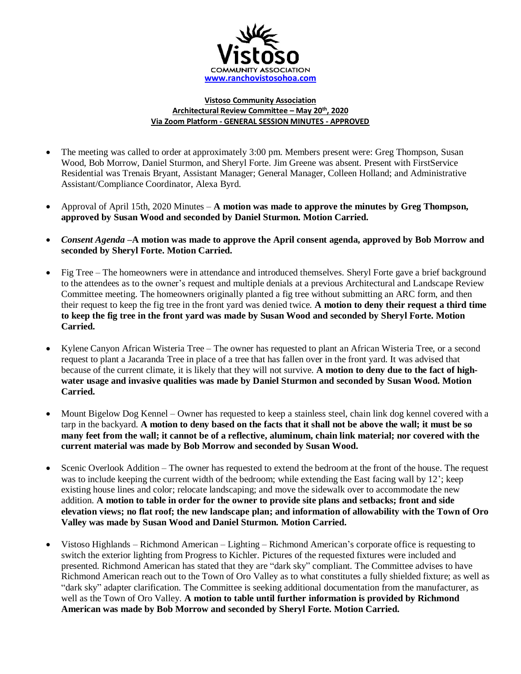

## **Vistoso Community Association Architectural Review Committee – May 20th, 2020 Via Zoom Platform - GENERAL SESSION MINUTES - APPROVED**

- The meeting was called to order at approximately 3:00 pm. Members present were: Greg Thompson, Susan Wood, Bob Morrow, Daniel Sturmon, and Sheryl Forte. Jim Greene was absent. Present with FirstService Residential was Trenais Bryant, Assistant Manager; General Manager, Colleen Holland; and Administrative Assistant/Compliance Coordinator, Alexa Byrd.
- Approval of April 15th, 2020 Minutes **A motion was made to approve the minutes by Greg Thompson, approved by Susan Wood and seconded by Daniel Sturmon. Motion Carried.**
- *Consent Agenda –***A motion was made to approve the April consent agenda, approved by Bob Morrow and seconded by Sheryl Forte. Motion Carried.**
- Fig Tree The homeowners were in attendance and introduced themselves. Sheryl Forte gave a brief background to the attendees as to the owner's request and multiple denials at a previous Architectural and Landscape Review Committee meeting. The homeowners originally planted a fig tree without submitting an ARC form, and then their request to keep the fig tree in the front yard was denied twice. **A motion to deny their request a third time to keep the fig tree in the front yard was made by Susan Wood and seconded by Sheryl Forte. Motion Carried.**
- Kylene Canyon African Wisteria Tree The owner has requested to plant an African Wisteria Tree, or a second request to plant a Jacaranda Tree in place of a tree that has fallen over in the front yard. It was advised that because of the current climate, it is likely that they will not survive. **A motion to deny due to the fact of highwater usage and invasive qualities was made by Daniel Sturmon and seconded by Susan Wood. Motion Carried.**
- Mount Bigelow Dog Kennel Owner has requested to keep a stainless steel, chain link dog kennel covered with a tarp in the backyard. **A motion to deny based on the facts that it shall not be above the wall; it must be so many feet from the wall; it cannot be of a reflective, aluminum, chain link material; nor covered with the current material was made by Bob Morrow and seconded by Susan Wood.**
- Scenic Overlook Addition The owner has requested to extend the bedroom at the front of the house. The request was to include keeping the current width of the bedroom; while extending the East facing wall by 12'; keep existing house lines and color; relocate landscaping; and move the sidewalk over to accommodate the new addition. **A motion to table in order for the owner to provide site plans and setbacks; front and side elevation views; no flat roof; the new landscape plan; and information of allowability with the Town of Oro Valley was made by Susan Wood and Daniel Sturmon. Motion Carried.**
- Vistoso Highlands Richmond American Lighting Richmond American's corporate office is requesting to switch the exterior lighting from Progress to Kichler. Pictures of the requested fixtures were included and presented. Richmond American has stated that they are "dark sky" compliant. The Committee advises to have Richmond American reach out to the Town of Oro Valley as to what constitutes a fully shielded fixture; as well as "dark sky" adapter clarification. The Committee is seeking additional documentation from the manufacturer, as well as the Town of Oro Valley. **A motion to table until further information is provided by Richmond American was made by Bob Morrow and seconded by Sheryl Forte. Motion Carried.**